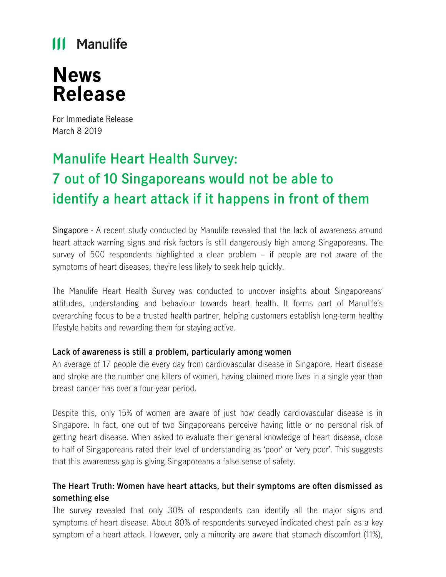## **III** Manulife

# **News Release**

For Immediate Release March 8 2019

## **Manulife Heart Health Survey: 7 out of 10 Singaporeans would not be able to identify a heart attack if it happens in front of them**

Singapore - A recent study conducted by Manulife revealed that the lack of awareness around heart attack warning signs and risk factors is still dangerously high among Singaporeans. The survey of 500 respondents highlighted a clear problem – if people are not aware of the symptoms of heart diseases, they're less likely to seek help quickly.

The Manulife Heart Health Survey was conducted to uncover insights about Singaporeans' attitudes, understanding and behaviour towards heart health. It forms part of Manulife's overarching focus to be a trusted health partner, helping customers establish long-term healthy lifestyle habits and rewarding them for staying active.

### **Lack of awareness is still a problem, particularly among women**

An average of 17 people die every day from cardiovascular disease in Singapore. Heart disease and stroke are the number one killers of women, having claimed more lives in a single year than breast cancer has over a four-year period.

Despite this, only 15% of women are aware of just how deadly cardiovascular disease is in Singapore. In fact, one out of two Singaporeans perceive having little or no personal risk of getting heart disease. When asked to evaluate their general knowledge of heart disease, close to half of Singaporeans rated their level of understanding as 'poor' or 'very poor'. This suggests that this awareness gap is giving Singaporeans a false sense of safety.

## **The Heart Truth: Women have heart attacks, but their symptoms are often dismissed as something else**

The survey revealed that only 30% of respondents can identify all the major signs and symptoms of heart disease. About 80% of respondents surveyed indicated chest pain as a key symptom of a heart attack. However, only a minority are aware that stomach discomfort (11%),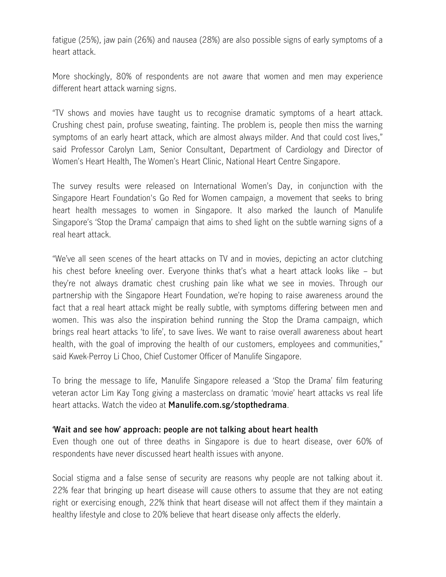fatigue (25%), jaw pain (26%) and nausea (28%) are also possible signs of early symptoms of a heart attack.

More shockingly, 80% of respondents are not aware that women and men may experience different heart attack warning signs.

"TV shows and movies have taught us to recognise dramatic symptoms of a heart attack. Crushing chest pain, profuse sweating, fainting. The problem is, people then miss the warning symptoms of an early heart attack, which are almost always milder. And that could cost lives," said Professor Carolyn Lam, Senior Consultant, Department of Cardiology and Director of Women's Heart Health, The Women's Heart Clinic, National Heart Centre Singapore.

The survey results were released on International Women's Day, in conjunction with the Singapore Heart Foundation's Go Red for Women campaign, a movement that seeks to bring heart health messages to women in Singapore. It also marked the launch of Manulife Singapore's 'Stop the Drama' campaign that aims to shed light on the subtle warning signs of a real heart attack.

"We've all seen scenes of the heart attacks on TV and in movies, depicting an actor clutching his chest before kneeling over. Everyone thinks that's what a heart attack looks like – but they're not always dramatic chest crushing pain like what we see in movies. Through our partnership with the Singapore Heart Foundation, we're hoping to raise awareness around the fact that a real heart attack might be really subtle, with symptoms differing between men and women. This was also the inspiration behind running the Stop the Drama campaign, which brings real heart attacks 'to life', to save lives. We want to raise overall awareness about heart health, with the goal of improving the health of our customers, employees and communities," said Kwek-Perroy Li Choo, Chief Customer Officer of Manulife Singapore.

To bring the message to life, Manulife Singapore released a 'Stop the Drama' film featuring veteran actor Lim Kay Tong giving a masterclass on dramatic 'movie' heart attacks vs real life heart attacks. Watch the video at **Manulife.com.sg/stopthedrama**.

#### **'Wait and see how' approach: people are not talking about heart health**

Even though one out of three deaths in Singapore is due to heart disease, over 60% of respondents have never discussed heart health issues with anyone.

Social stigma and a false sense of security are reasons why people are not talking about it. 22% fear that bringing up heart disease will cause others to assume that they are not eating right or exercising enough, 22% think that heart disease will not affect them if they maintain a healthy lifestyle and close to 20% believe that heart disease only affects the elderly.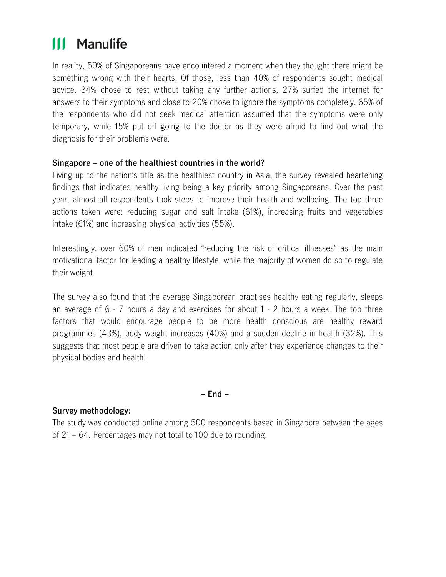#### **Manulife** Ш

In reality, 50% of Singaporeans have encountered a moment when they thought there might be something wrong with their hearts. Of those, less than 40% of respondents sought medical advice. 34% chose to rest without taking any further actions, 27% surfed the internet for answers to their symptoms and close to 20% chose to ignore the symptoms completely. 65% of the respondents who did not seek medical attention assumed that the symptoms were only temporary, while 15% put off going to the doctor as they were afraid to find out what the diagnosis for their problems were.

### **Singapore – one of the healthiest countries in the world?**

Living up to the nation's title as the healthiest country in Asia, the survey revealed heartening findings that indicates healthy living being a key priority among Singaporeans. Over the past year, almost all respondents took steps to improve their health and wellbeing. The top three actions taken were: reducing sugar and salt intake (61%), increasing fruits and vegetables intake (61%) and increasing physical activities (55%).

Interestingly, over 60% of men indicated "reducing the risk of critical illnesses" as the main motivational factor for leading a healthy lifestyle, while the majority of women do so to regulate their weight.

The survey also found that the average Singaporean practises healthy eating regularly, sleeps an average of 6 - 7 hours a day and exercises for about 1 - 2 hours a week. The top three factors that would encourage people to be more health conscious are healthy reward programmes (43%), body weight increases (40%) and a sudden decline in health (32%). This suggests that most people are driven to take action only after they experience changes to their physical bodies and health.

**– End –**

### **Survey methodology:**

The study was conducted online among 500 respondents based in Singapore between the ages of 21 – 64. Percentages may not total to 100 due to rounding.